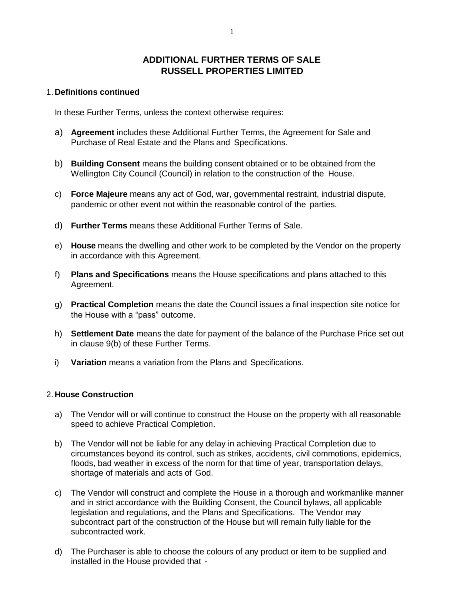# **ADDITIONAL FURTHER TERMS OF SALE RUSSELL PROPERTIES LIMITED**

# 1. **Definitions continued**

In these Further Terms, unless the context otherwise requires:

- a) **Agreement** includes these Additional Further Terms, the Agreement for Sale and Purchase of Real Estate and the Plans and Specifications.
- b) **Building Consent** means the building consent obtained or to be obtained from the Wellington City Council (Council) in relation to the construction of the House.
- c) **Force Majeure** means any act of God, war, governmental restraint, industrial dispute, pandemic or other event not within the reasonable control of the parties.
- d) **Further Terms** means these Additional Further Terms of Sale.
- e) **House** means the dwelling and other work to be completed by the Vendor on the property in accordance with this Agreement.
- f) **Plans and Specifications** means the House specifications and plans attached to this Agreement.
- g) **Practical Completion** means the date the Council issues a final inspection site notice for the House with a "pass" outcome.
- h) **Settlement Date** means the date for payment of the balance of the Purchase Price set out in clause 9(b) of these Further Terms.
- i) **Variation** means a variation from the Plans and Specifications.

#### 2. **House Construction**

- a) The Vendor will or will continue to construct the House on the property with all reasonable speed to achieve Practical Completion.
- b) The Vendor will not be liable for any delay in achieving Practical Completion due to circumstances beyond its control, such as strikes, accidents, civil commotions, epidemics, floods, bad weather in excess of the norm for that time of year, transportation delays, shortage of materials and acts of God.
- c) The Vendor will construct and complete the House in a thorough and workmanlike manner and in strict accordance with the Building Consent, the Council bylaws, all applicable legislation and regulations, and the Plans and Specifications. The Vendor may subcontract part of the construction of the House but will remain fully liable for the subcontracted work.
- d) The Purchaser is able to choose the colours of any product or item to be supplied and installed in the House provided that -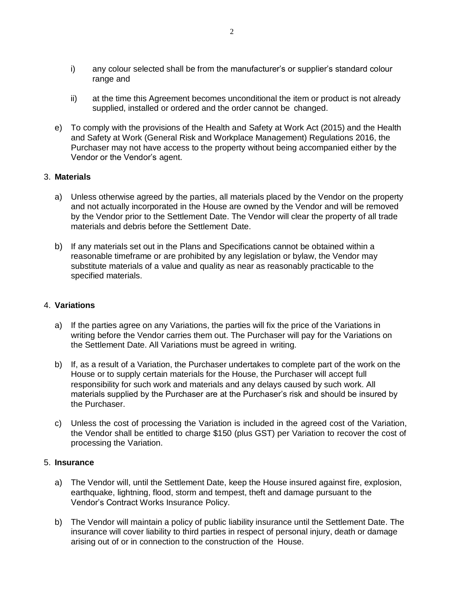- i) any colour selected shall be from the manufacturer's or supplier's standard colour range and
- ii) at the time this Agreement becomes unconditional the item or product is not already supplied, installed or ordered and the order cannot be changed.
- e) To comply with the provisions of the Health and Safety at Work Act (2015) and the Health and Safety at Work (General Risk and Workplace Management) Regulations 2016, the Purchaser may not have access to the property without being accompanied either by the Vendor or the Vendor's agent.

# 3. **Materials**

- a) Unless otherwise agreed by the parties, all materials placed by the Vendor on the property and not actually incorporated in the House are owned by the Vendor and will be removed by the Vendor prior to the Settlement Date. The Vendor will clear the property of all trade materials and debris before the Settlement Date.
- b) If any materials set out in the Plans and Specifications cannot be obtained within a reasonable timeframe or are prohibited by any legislation or bylaw, the Vendor may substitute materials of a value and quality as near as reasonably practicable to the specified materials.

# 4. **Variations**

- a) If the parties agree on any Variations, the parties will fix the price of the Variations in writing before the Vendor carries them out. The Purchaser will pay for the Variations on the Settlement Date. All Variations must be agreed in writing.
- b) If, as a result of a Variation, the Purchaser undertakes to complete part of the work on the House or to supply certain materials for the House, the Purchaser will accept full responsibility for such work and materials and any delays caused by such work. All materials supplied by the Purchaser are at the Purchaser's risk and should be insured by the Purchaser.
- c) Unless the cost of processing the Variation is included in the agreed cost of the Variation, the Vendor shall be entitled to charge \$150 (plus GST) per Variation to recover the cost of processing the Variation.

#### 5. **Insurance**

- a) The Vendor will, until the Settlement Date, keep the House insured against fire, explosion, earthquake, lightning, flood, storm and tempest, theft and damage pursuant to the Vendor's Contract Works Insurance Policy.
- b) The Vendor will maintain a policy of public liability insurance until the Settlement Date. The insurance will cover liability to third parties in respect of personal injury, death or damage arising out of or in connection to the construction of the House.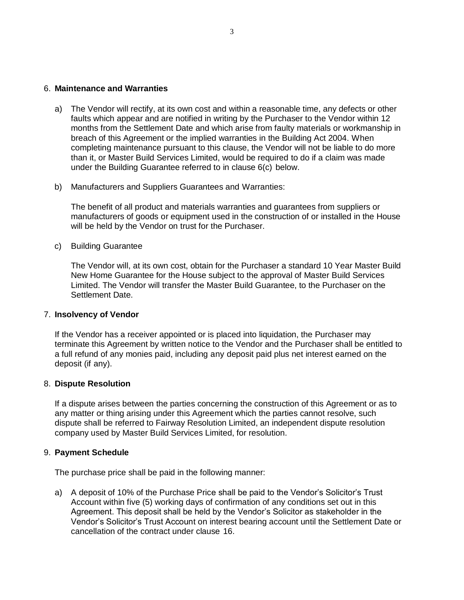#### 6. **Maintenance and Warranties**

- a) The Vendor will rectify, at its own cost and within a reasonable time, any defects or other faults which appear and are notified in writing by the Purchaser to the Vendor within 12 months from the Settlement Date and which arise from faulty materials or workmanship in breach of this Agreement or the implied warranties in the Building Act 2004. When completing maintenance pursuant to this clause, the Vendor will not be liable to do more than it, or Master Build Services Limited, would be required to do if a claim was made under the Building Guarantee referred to in clause 6(c) below.
- b) Manufacturers and Suppliers Guarantees and Warranties:

The benefit of all product and materials warranties and guarantees from suppliers or manufacturers of goods or equipment used in the construction of or installed in the House will be held by the Vendor on trust for the Purchaser.

c) Building Guarantee

The Vendor will, at its own cost, obtain for the Purchaser a standard 10 Year Master Build New Home Guarantee for the House subject to the approval of Master Build Services Limited. The Vendor will transfer the Master Build Guarantee, to the Purchaser on the Settlement Date.

#### 7. **Insolvency of Vendor**

If the Vendor has a receiver appointed or is placed into liquidation, the Purchaser may terminate this Agreement by written notice to the Vendor and the Purchaser shall be entitled to a full refund of any monies paid, including any deposit paid plus net interest earned on the deposit (if any).

#### 8. **Dispute Resolution**

If a dispute arises between the parties concerning the construction of this Agreement or as to any matter or thing arising under this Agreement which the parties cannot resolve, such dispute shall be referred to Fairway Resolution Limited, an independent dispute resolution company used by Master Build Services Limited, for resolution.

#### 9. **Payment Schedule**

The purchase price shall be paid in the following manner:

a) A deposit of 10% of the Purchase Price shall be paid to the Vendor's Solicitor's Trust Account within five (5) working days of confirmation of any conditions set out in this Agreement. This deposit shall be held by the Vendor's Solicitor as stakeholder in the Vendor's Solicitor's Trust Account on interest bearing account until the Settlement Date or cancellation of the contract under clause 16.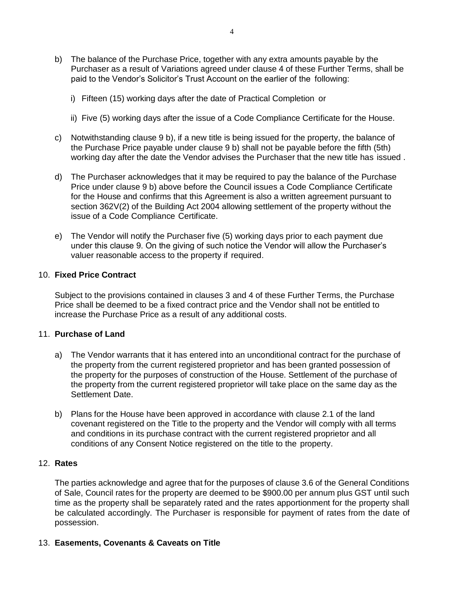- b) The balance of the Purchase Price, together with any extra amounts payable by the Purchaser as a result of Variations agreed under clause 4 of these Further Terms, shall be paid to the Vendor's Solicitor's Trust Account on the earlier of the following:
	- i) Fifteen (15) working days after the date of Practical Completion or
	- ii) Five (5) working days after the issue of a Code Compliance Certificate for the House.
- c) Notwithstanding clause 9 b), if a new title is being issued for the property, the balance of the Purchase Price payable under clause 9 b) shall not be payable before the fifth (5th) working day after the date the Vendor advises the Purchaser that the new title has issued .
- d) The Purchaser acknowledges that it may be required to pay the balance of the Purchase Price under clause 9 b) above before the Council issues a Code Compliance Certificate for the House and confirms that this Agreement is also a written agreement pursuant to section 362V(2) of the Building Act 2004 allowing settlement of the property without the issue of a Code Compliance Certificate.
- e) The Vendor will notify the Purchaser five (5) working days prior to each payment due under this clause 9. On the giving of such notice the Vendor will allow the Purchaser's valuer reasonable access to the property if required.

# 10. **Fixed Price Contract**

Subject to the provisions contained in clauses 3 and 4 of these Further Terms, the Purchase Price shall be deemed to be a fixed contract price and the Vendor shall not be entitled to increase the Purchase Price as a result of any additional costs.

#### 11. **Purchase of Land**

- a) The Vendor warrants that it has entered into an unconditional contract for the purchase of the property from the current registered proprietor and has been granted possession of the property for the purposes of construction of the House. Settlement of the purchase of the property from the current registered proprietor will take place on the same day as the Settlement Date.
- b) Plans for the House have been approved in accordance with clause 2.1 of the land covenant registered on the Title to the property and the Vendor will comply with all terms and conditions in its purchase contract with the current registered proprietor and all conditions of any Consent Notice registered on the title to the property.

# 12. **Rates**

The parties acknowledge and agree that for the purposes of clause 3.6 of the General Conditions of Sale, Council rates for the property are deemed to be \$900.00 per annum plus GST until such time as the property shall be separately rated and the rates apportionment for the property shall be calculated accordingly. The Purchaser is responsible for payment of rates from the date of possession.

# 13. **Easements, Covenants & Caveats on Title**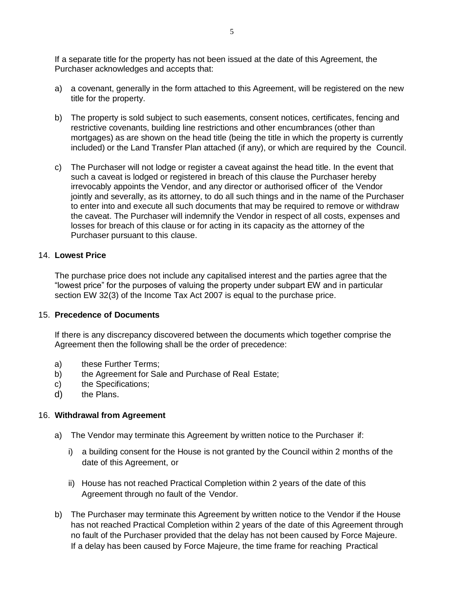If a separate title for the property has not been issued at the date of this Agreement, the Purchaser acknowledges and accepts that:

- a) a covenant, generally in the form attached to this Agreement, will be registered on the new title for the property.
- b) The property is sold subject to such easements, consent notices, certificates, fencing and restrictive covenants, building line restrictions and other encumbrances (other than mortgages) as are shown on the head title (being the title in which the property is currently included) or the Land Transfer Plan attached (if any), or which are required by the Council.
- c) The Purchaser will not lodge or register a caveat against the head title. In the event that such a caveat is lodged or registered in breach of this clause the Purchaser hereby irrevocably appoints the Vendor, and any director or authorised officer of the Vendor jointly and severally, as its attorney, to do all such things and in the name of the Purchaser to enter into and execute all such documents that may be required to remove or withdraw the caveat. The Purchaser will indemnify the Vendor in respect of all costs, expenses and losses for breach of this clause or for acting in its capacity as the attorney of the Purchaser pursuant to this clause.

#### 14. **Lowest Price**

The purchase price does not include any capitalised interest and the parties agree that the "lowest price" for the purposes of valuing the property under subpart EW and in particular section EW 32(3) of the Income Tax Act 2007 is equal to the purchase price.

#### 15. **Precedence of Documents**

If there is any discrepancy discovered between the documents which together comprise the Agreement then the following shall be the order of precedence:

- a) these Further Terms;
- b) the Agreement for Sale and Purchase of Real Estate;
- c) the Specifications;
- d) the Plans.

# 16. **Withdrawal from Agreement**

- a) The Vendor may terminate this Agreement by written notice to the Purchaser if:
	- i) a building consent for the House is not granted by the Council within 2 months of the date of this Agreement, or
	- ii) House has not reached Practical Completion within 2 years of the date of this Agreement through no fault of the Vendor.
- b) The Purchaser may terminate this Agreement by written notice to the Vendor if the House has not reached Practical Completion within 2 years of the date of this Agreement through no fault of the Purchaser provided that the delay has not been caused by Force Majeure. If a delay has been caused by Force Majeure, the time frame for reaching Practical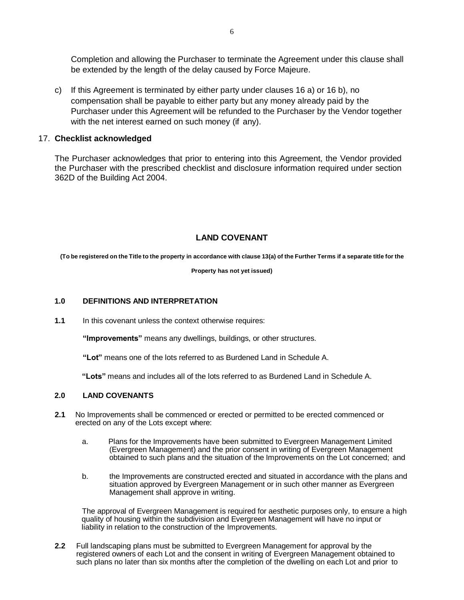Completion and allowing the Purchaser to terminate the Agreement under this clause shall be extended by the length of the delay caused by Force Majeure.

c) If this Agreement is terminated by either party under clauses 16 a) or 16 b), no compensation shall be payable to either party but any money already paid by the Purchaser under this Agreement will be refunded to the Purchaser by the Vendor together with the net interest earned on such money (if any).

# 17. **Checklist acknowledged**

The Purchaser acknowledges that prior to entering into this Agreement, the Vendor provided the Purchaser with the prescribed checklist and disclosure information required under section 362D of the Building Act 2004.

# **LAND COVENANT**

(To be registered on the Title to the property in accordance with clause 13(a) of the Further Terms if a separate title for the

**Property has not yet issued)**

#### **1.0 DEFINITIONS AND INTERPRETATION**

**1.1** In this covenant unless the context otherwise requires:

**"Improvements"** means any dwellings, buildings, or other structures.

**"Lot"** means one of the lots referred to as Burdened Land in Schedule A.

**"Lots"** means and includes all of the lots referred to as Burdened Land in Schedule A.

#### **2.0 LAND COVENANTS**

- **2.1** No Improvements shall be commenced or erected or permitted to be erected commenced or erected on any of the Lots except where:
	- a. Plans for the Improvements have been submitted to Evergreen Management Limited (Evergreen Management) and the prior consent in writing of Evergreen Management obtained to such plans and the situation of the Improvements on the Lot concerned; and
	- b. the Improvements are constructed erected and situated in accordance with the plans and situation approved by Evergreen Management or in such other manner as Evergreen Management shall approve in writing.

The approval of Evergreen Management is required for aesthetic purposes only, to ensure a high quality of housing within the subdivision and Evergreen Management will have no input or liability in relation to the construction of the Improvements.

**2.2** Full landscaping plans must be submitted to Evergreen Management for approval by the registered owners of each Lot and the consent in writing of Evergreen Management obtained to such plans no later than six months after the completion of the dwelling on each Lot and prior to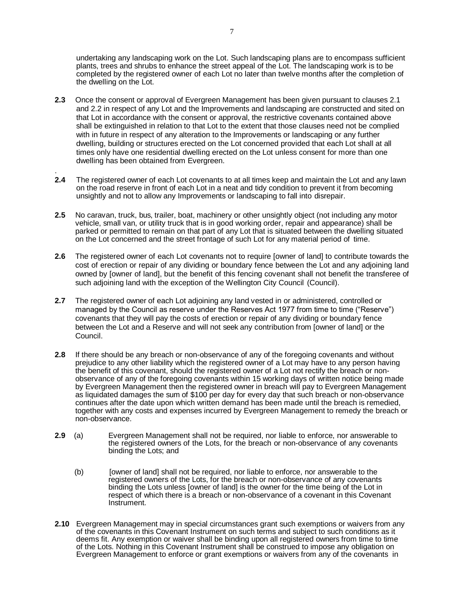undertaking any landscaping work on the Lot. Such landscaping plans are to encompass sufficient plants, trees and shrubs to enhance the street appeal of the Lot. The landscaping work is to be completed by the registered owner of each Lot no later than twelve months after the completion of the dwelling on the Lot.

- **2.3** Once the consent or approval of Evergreen Management has been given pursuant to clauses 2.1 and 2.2 in respect of any Lot and the Improvements and landscaping are constructed and sited on that Lot in accordance with the consent or approval, the restrictive covenants contained above shall be extinguished in relation to that Lot to the extent that those clauses need not be complied with in future in respect of any alteration to the Improvements or landscaping or any further dwelling, building or structures erected on the Lot concerned provided that each Lot shall at all times only have one residential dwelling erected on the Lot unless consent for more than one dwelling has been obtained from Evergreen.
- **2.4** The registered owner of each Lot covenants to at all times keep and maintain the Lot and any lawn on the road reserve in front of each Lot in a neat and tidy condition to prevent it from becoming unsightly and not to allow any Improvements or landscaping to fall into disrepair.

.

- **2.5** No caravan, truck, bus, trailer, boat, machinery or other unsightly object (not including any motor vehicle, small van, or utility truck that is in good working order, repair and appearance) shall be parked or permitted to remain on that part of any Lot that is situated between the dwelling situated on the Lot concerned and the street frontage of such Lot for any material period of time.
- **2.6** The registered owner of each Lot covenants not to require [owner of land] to contribute towards the cost of erection or repair of any dividing or boundary fence between the Lot and any adjoining land owned by [owner of land], but the benefit of this fencing covenant shall not benefit the transferee of such adjoining land with the exception of the Wellington City Council (Council).
- **2.7** The registered owner of each Lot adjoining any land vested in or administered, controlled or managed by the Council as reserve under the Reserves Act 1977 from time to time ("Reserve") covenants that they will pay the costs of erection or repair of any dividing or boundary fence between the Lot and a Reserve and will not seek any contribution from [owner of land] or the Council.
- **2.8** If there should be any breach or non-observance of any of the foregoing covenants and without prejudice to any other liability which the registered owner of a Lot may have to any person having the benefit of this covenant, should the registered owner of a Lot not rectify the breach or nonobservance of any of the foregoing covenants within 15 working days of written notice being made by Evergreen Management then the registered owner in breach will pay to Evergreen Management as liquidated damages the sum of \$100 per day for every day that such breach or non-observance continues after the date upon which written demand has been made until the breach is remedied, together with any costs and expenses incurred by Evergreen Management to remedy the breach or non-observance.
- **2.9** (a) Evergreen Management shall not be required, nor liable to enforce, nor answerable to the registered owners of the Lots, for the breach or non-observance of any covenants binding the Lots; and
	- (b) [owner of land] shall not be required, nor liable to enforce, nor answerable to the registered owners of the Lots, for the breach or non-observance of any covenants binding the Lots unless [owner of land] is the owner for the time being of the Lot in respect of which there is a breach or non-observance of a covenant in this Covenant Instrument.
- **2.10** Evergreen Management may in special circumstances grant such exemptions or waivers from any of the covenants in this Covenant Instrument on such terms and subject to such conditions as it deems fit. Any exemption or waiver shall be binding upon all registered owners from time to time of the Lots. Nothing in this Covenant Instrument shall be construed to impose any obligation on Evergreen Management to enforce or grant exemptions or waivers from any of the covenants in